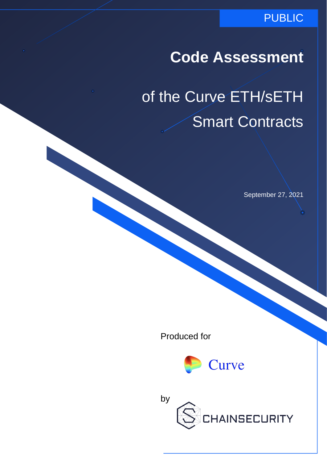#### PUBLIC

## **Code Assessment**

# of the Curve ETH/sETH Smart Contracts

September 27, 2021

Produced for



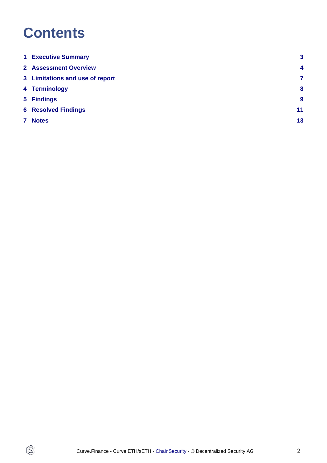## **Contents**

 $\circledS$ 

| <b>1 Executive Summary</b>      | 3              |
|---------------------------------|----------------|
| <b>2 Assessment Overview</b>    | $\overline{4}$ |
| 3 Limitations and use of report | 7              |
| 4 Terminology                   | 8              |
| 5 Findings                      | 9              |
| <b>6 Resolved Findings</b>      | 11             |
| 7 Notes                         | 13             |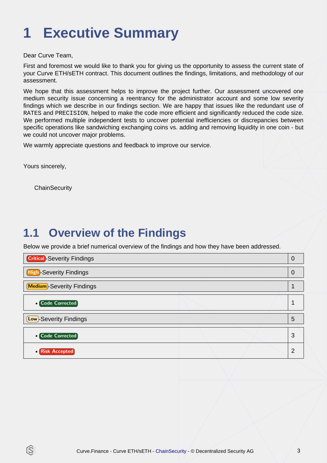## <span id="page-2-0"></span>**1 Executive Summary**

Dear Curve Team,

First and foremost we would like to thank you for giving us the opportunity to assess the current state of your Curve ETH/sETH contract. This document outlines the findings, limitations, and methodology of our assessment.

We hope that this assessment helps to improve the project further. Our assessment uncovered one medium security issue concerning a reentrancy for the administrator account and some low severity findings which we describe in our findings section. We are happy that issues like the redundant use of RATES and PRECISION, helped to make the code more efficient and significantly reduced the code size. We performed multiple independent tests to uncover potential inefficiencies or discrepancies between specific operations like sandwiching exchanging coins vs. adding and removing liquidity in one coin - but we could not uncover major problems.

We warmly appreciate questions and feedback to improve our service.

Yours sincerely,

ß

**ChainSecurity** 

### **1.1 Overview of the Findings**

Below we provide a brief numerical overview of the findings and how they have been addressed.

| <b>High-Severity Findings</b><br><b>Medium</b> -Severity Findings<br><b>o</b> Code Corrected<br><b>Low</b> -Severity Findings<br>5 | <b>Critical</b> -Severity Findings |  | $\mathcal{L}$ |
|------------------------------------------------------------------------------------------------------------------------------------|------------------------------------|--|---------------|
|                                                                                                                                    |                                    |  |               |
|                                                                                                                                    |                                    |  |               |
|                                                                                                                                    |                                    |  |               |
|                                                                                                                                    |                                    |  |               |
| 3<br><b>o</b> Code Corrected                                                                                                       |                                    |  |               |
| <b>• Risk Accepted</b>                                                                                                             |                                    |  |               |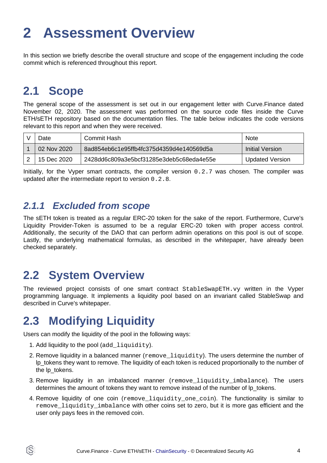## <span id="page-3-0"></span>**2 Assessment Overview**

In this section we briefly describe the overall structure and scope of the engagement including the code commit which is referenced throughout this report.

#### **2.1 Scope**

The general scope of the assessment is set out in our engagement letter with Curve.Finance dated November 02, 2020. The assessment was performed on the source code files inside the Curve ETH/sETH repository based on the documentation files. The table below indicates the code versions relevant to this report and when they were received.

| Jate        | Commit Hash                              | <b>Note</b>     |
|-------------|------------------------------------------|-----------------|
| 02 Nov 2020 | 8ad854eb6c1e95ffb4fc375d4359d4e140569d5a | Initial Version |
| 15 Dec 2020 | 2428dd6c809a3e5bcf31285e3deb5c68eda4e55e | Updated Version |

Initially, for the Vyper smart contracts, the compiler version 0.2.7 was chosen. The compiler was updated after the intermediate report to version 0.2.8.

#### **2.1.1 Excluded from scope**

The sETH token is treated as a regular ERC-20 token for the sake of the report. Furthermore, Curve's Liquidity Provider-Token is assumed to be a regular ERC-20 token with proper access control. Additionally, the security of the DAO that can perform admin operations on this pool is out of scope. Lastly, the underlying mathematical formulas, as described in the whitepaper, have already been checked separately.

### **2.2 System Overview**

The reviewed project consists of one smart contract StableSwapETH.vy written in the Vyper programming language. It implements a liquidity pool based on an invariant called StableSwap and described in Curve's whitepaper.

### **2.3 Modifying Liquidity**

Users can modify the liquidity of the pool in the following ways:

1. Add liquidity to the pool (add\_liquidity).

IS.

- 2. Remove liquidity in a balanced manner (remove liquidity). The users determine the number of lp\_tokens they want to remove. The liquidity of each token is reduced proportionally to the number of the lp\_tokens.
- 3. Remove liquidity in an imbalanced manner (remove\_liquidity\_imbalance). The users determines the amount of tokens they want to remove instead of the number of lp\_tokens.
- 4. Remove liquidity of one coin (remove\_liquidity\_one\_coin). The functionality is similar to remove\_liquidity\_imbalance with other coins set to zero, but it is more gas efficient and the user only pays fees in the removed coin.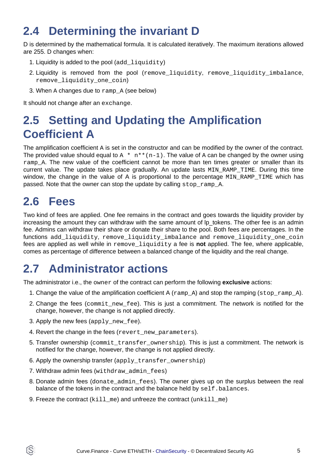### **2.4 Determining the invariant D**

D is determined by the mathematical formula. It is calculated iteratively. The maximum iterations allowed are 255. D changes when:

- 1. Liquidity is added to the pool  $(\text{add}\,\text{\_liquidity})$
- 2. Liquidity is removed from the pool (remove\_liquidity, remove\_liquidity\_imbalance, remove liquidity one coin)
- 3. When  $A$  changes due to  $rampA$  (see below)

It should not change after an exchange.

### **2.5 Setting and Updating the Amplification Coefficient A**

The amplification coefficient A is set in the constructor and can be modified by the owner of the contract. The provided value should equal to  $A * n * (n-1)$ . The value of A can be changed by the owner using ramp A. The new value of the coefficient cannot be more than ten times greater or smaller than its current value. The update takes place gradually. An update lasts MIN RAMP TIME. During this time window, the change in the value of A is proportional to the percentage MIN\_RAMP\_TIME which has passed. Note that the owner can stop the update by calling stop ramp A.

#### **2.6 Fees**

ÍS)

Two kind of fees are applied. One fee remains in the contract and goes towards the liquidity provider by increasing the amount they can withdraw with the same amount of  $Ip$  tokens. The other fee is an admin fee. Admins can withdraw their share or donate their share to the pool. Both fees are percentages. In the functions add\_liquidity, remove\_liquidity\_imbalance and remove\_liquidity\_one\_coin fees are applied as well while in remove\_liquidity a fee is **not** applied. The fee, where applicable, comes as percentage of difference between a balanced change of the liquidity and the real change.

### **2.7 Administrator actions**

The administrator i.e., the owner of the contract can perform the following **exclusive** actions:

- 1. Change the value of the amplification coefficient A  $({\rm ramp}_A)$  and stop the ramping  $({\rm stop\_ramp}_A)$ .
- 2. Change the fees (commit new fee). This is just a commitment. The network is notified for the change, however, the change is not applied directly.
- 3. Apply the new fees (apply new fee).
- 4. Revert the change in the fees (revert\_new\_parameters).
- 5. Transfer ownership (commit\_transfer\_ownership). This is just a commitment. The network is notified for the change, however, the change is not applied directly.
- 6. Apply the ownership transfer (apply\_transfer\_ownership)
- 7. Withdraw admin fees (withdraw admin fees)
- 8. Donate admin fees (donate\_admin\_fees). The owner gives up on the surplus between the real balance of the tokens in the contract and the balance held by  $\text{self}$ . balances.
- 9. Freeze the contract  $(killme)$  and unfreeze the contract  $(unkillme)$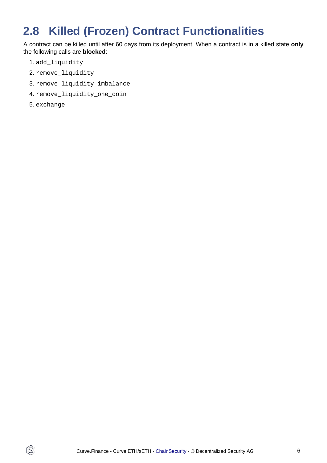## **2.8 Killed (Frozen) Contract Functionalities**

A contract can be killed until after 60 days from its deployment. When a contract is in a killed state **only** the following calls are **blocked**:

- 1. add\_liquidity
- 2. remove\_liquidity
- 3. remove\_liquidity\_imbalance
- 4. remove\_liquidity\_one\_coin
- 5. exchange

 $\widehat{\mathbb{G}}$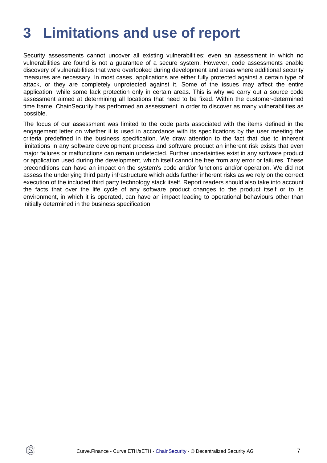## <span id="page-6-0"></span>**3 Limitations and use of report**

Security assessments cannot uncover all existing vulnerabilities; even an assessment in which no vulnerabilities are found is not a guarantee of a secure system. However, code assessments enable discovery of vulnerabilities that were overlooked during development and areas where additional security measures are necessary. In most cases, applications are either fully protected against a certain type of attack, or they are completely unprotected against it. Some of the issues may affect the entire application, while some lack protection only in certain areas. This is why we carry out a source code assessment aimed at determining all locations that need to be fixed. Within the customer-determined time frame, ChainSecurity has performed an assessment in order to discover as many vulnerabilities as possible.

The focus of our assessment was limited to the code parts associated with the items defined in the engagement letter on whether it is used in accordance with its specifications by the user meeting the criteria predefined in the business specification. We draw attention to the fact that due to inherent limitations in any software development process and software product an inherent risk exists that even major failures or malfunctions can remain undetected. Further uncertainties exist in any software product or application used during the development, which itself cannot be free from any error or failures. These preconditions can have an impact on the system's code and/or functions and/or operation. We did not assess the underlying third party infrastructure which adds further inherent risks as we rely on the correct execution of the included third party technology stack itself. Report readers should also take into account the facts that over the life cycle of any software product changes to the product itself or to its environment, in which it is operated, can have an impact leading to operational behaviours other than initially determined in the business specification.

ÍŠ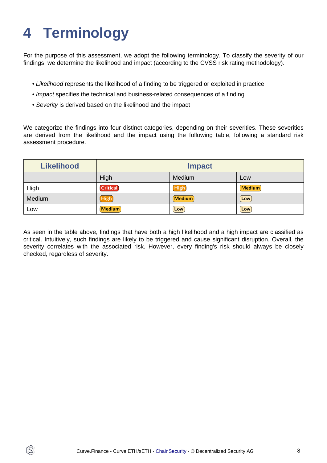## <span id="page-7-0"></span>**4 Terminology**

ÍŜ

For the purpose of this assessment, we adopt the following terminology. To classify the severity of our findings, we determine the likelihood and impact (according to the CVSS risk rating methodology).

- Likelihood represents the likelihood of a finding to be triggered or exploited in practice
- Impact specifies the technical and business-related consequences of a finding
- Severity is derived based on the likelihood and the impact

We categorize the findings into four distinct categories, depending on their severities. These severities are derived from the likelihood and the impact using the following table, following a standard risk assessment procedure.

| <b>Likelihood</b> | <b>Impact</b>   |             |               |
|-------------------|-----------------|-------------|---------------|
|                   | High            | Medium      | Low           |
| High              | <b>Critical</b> | <b>High</b> | <b>Medium</b> |
| Medium            | High            | Medium      | $\lfloor$ Low |
| Low               | <b>Medium</b>   | Low         | Low           |

As seen in the table above, findings that have both a high likelihood and a high impact are classified as critical. Intuitively, such findings are likely to be triggered and cause significant disruption. Overall, the severity correlates with the associated risk. However, every finding's risk should always be closely checked, regardless of severity.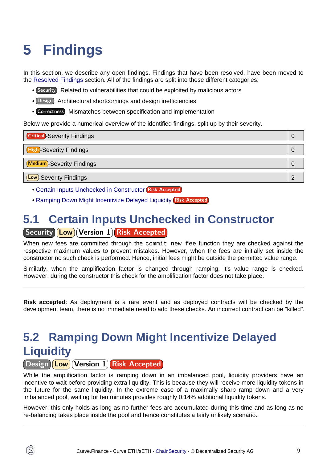## <span id="page-8-3"></span><span id="page-8-0"></span>**5 Findings**

In this section, we describe any open findings. Findings that have been resolved, have been moved to the [Resolved Findings](#page-10-1) section. All of the findings are split into these different categories:

- Security : Related to vulnerabilities that could be exploited by malicious actors
- Design : Architectural shortcomings and design inefficiencies
- Correctness : Mismatches between specification and implementation

Below we provide a numerical overview of the identified findings, split up by their severity.

| <b>Critical</b> -Severity Findings | 0 |
|------------------------------------|---|
| <b>High-Severity Findings</b>      | O |
| Medium-Severity Findings           | 0 |
| <b>Low</b> )-Severity Findings     |   |

- [Certain Inputs Unchecked in Constructor](#page-8-1) Risk Accepted
- [Ramping Down Might Incentivize Delayed Liquidity](#page-8-2) Risk Accepted

#### <span id="page-8-1"></span>**5.1 Certain Inputs Unchecked in Constructor** Security **Low** Version 1 Risk Accepted

When new fees are committed through the commit new fee function they are checked against the respective maximum values to prevent mistakes. However, when the fees are initially set inside the constructor no such check is performed. Hence, initial fees might be outside the permitted value range.

Similarly, when the amplification factor is changed through ramping, it's value range is checked. However, during the constructor this check for the amplification factor does not take place.

**Risk accepted**: As deployment is a rare event and as deployed contracts will be checked by the development team, there is no immediate need to add these checks. An incorrect contract can be "killed".

## <span id="page-8-2"></span>**5.2 Ramping Down Might Incentivize Delayed Liquidity**

#### Design **Low** Version 1 Risk Accepted

While the amplification factor is ramping down in an imbalanced pool, liquidity providers have an incentive to wait before providing extra liquidity. This is because they will receive more liquidity tokens in the future for the same liquidity. In the extreme case of a maximally sharp ramp down and a very imbalanced pool, waiting for ten minutes provides roughly 0.14% additional liquidity tokens.

However, this only holds as long as no further fees are accumulated during this time and as long as no re-balancing takes place inside the pool and hence constitutes a fairly unlikely scenario.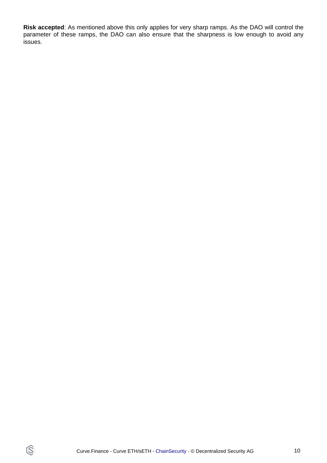**Risk accepted**: As mentioned above this only applies for very sharp ramps. As the DAO will control the parameter of these ramps, the DAO can also ensure that the sharpness is low enough to avoid any issues.

 $\circledS$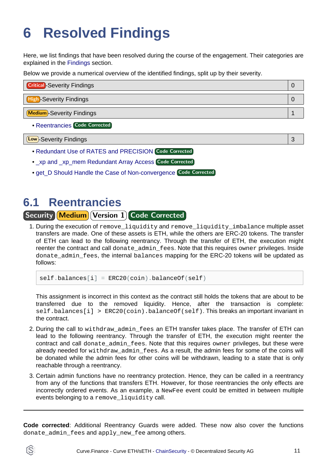## <span id="page-10-1"></span><span id="page-10-0"></span>**6 Resolved Findings**

Here, we list findings that have been resolved during the course of the engagement. Their categories are explained in the [Findings](#page-8-3) section.

Below we provide a numerical overview of the identified findings, split up by their severity.

| <b>Critical</b> -Severity Findings |  |
|------------------------------------|--|
| High-Severity Findings             |  |
|                                    |  |
| <b>Medium</b> -Severity Findings   |  |
|                                    |  |

• [Reentrancies](#page-10-2) Code Corrected

Low -Severity Findings 3

- [Redundant Use of RATES and PRECISION](#page-11-0) Code Corrected
- [\\_xp and \\_xp\\_mem Redundant Array Access](#page-11-1) Code Corrected
- [get\\_D Should Handle the Case of Non-convergence](#page-11-2) Code Corrected

#### <span id="page-10-2"></span>**6.1 Reentrancies**

Security Medium Version 1 Code Corrected

1. During the execution of remove liquidity and remove liquidity imbalance multiple asset transfers are made. One of these assets is ETH, while the others are ERC-20 tokens. The transfer of ETH can lead to the following reentrancy. Through the transfer of ETH, the execution might reenter the contract and call donate\_admin\_fees. Note that this requires owner privileges. Inside donate\_admin\_fees, the internal balances mapping for the ERC-20 tokens will be updated as follows:

 $self. balances[i] = ERC20(coin).balanceOf(self)$ 

This assignment is incorrect in this context as the contract still holds the tokens that are about to be transferred due to the removed liquidity. Hence, after the transaction is complete:  $self.balances[i] > ERC20(coin).balanceOf(self).$  This breaks an important invariant in the contract.

- 2. During the call to withdraw\_admin\_fees an ETH transfer takes place. The transfer of ETH can lead to the following reentrancy. Through the transfer of ETH, the execution might reenter the contract and call donate\_admin\_fees. Note that this requires owner privileges, but these were already needed for withdraw\_admin\_fees. As a result, the admin fees for some of the coins will be donated while the admin fees for other coins will be withdrawn, leading to a state that is only reachable through a reentrancy.
- 3. Certain admin functions have no reentrancy protection. Hence, they can be called in a reentrancy from any of the functions that transfers ETH. However, for those reentrancies the only effects are incorrectly ordered events. As an example, a NewFee event could be emitted in between multiple events belonging to a remove liquidity call.

**Code corrected**: Additional Reentrancy Guards were added. These now also cover the functions donate\_admin\_fees and apply\_new\_fee among others.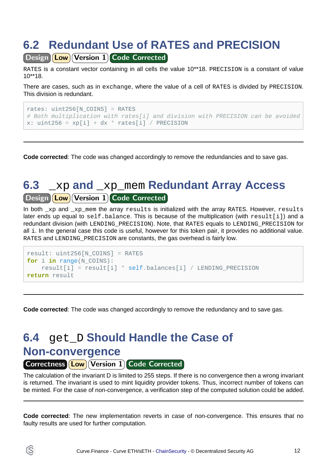## <span id="page-11-0"></span>**6.2 Redundant Use of RATES and PRECISION**

Design Low Version 1 Code Corrected

RATES is a constant vector containing in all cells the value 10\*\*18. PRECISION is a constant of value 10\*\*18.

There are cases, such as in exchange, where the value of a cell of RATES is divided by PRECISION. This division is redundant.

```
rates: uint256[N_COINS] = RATES
# Both multiplication with rates[i] and division with PRECISION can be avoided
x: uint256 = xp[i] + dx * rates[i] / PRECISION
```
**Code corrected**: The code was changed accordingly to remove the redundancies and to save gas.

#### <span id="page-11-1"></span>**6.3** \_xp **and** \_xp\_mem **Redundant Array Access** Design **Low** Version 1 Code Corrected

In both xp and xp mem the array results is initialized with the array RATES. However, results later ends up equal to self.balance. This is because of the multiplication (with result[i]) and a redundant division (with LENDING\_PRECISION). Note, that RATES equals to LENDING\_PRECISION for all i. In the general case this code is useful, however for this token pair, it provides no additional value. RATES and LENDING PRECISION are constants, the gas overhead is fairly low.

```
result: uint256[N_COINS] = RATES
for i in range(N_COINS):
     result[i] = result[i] * self.balances[i] / LENDING_PRECISION
return result
```
**Code corrected**: The code was changed accordingly to remove the redundancy and to save gas.

### <span id="page-11-2"></span>**6.4** get\_D **Should Handle the Case of Non-convergence**

Correctness (Low) Version 1 Code Corrected

Ĝ.

The calculation of the invariant D is limited to 255 steps. If there is no convergence then a wrong invariant is returned. The invariant is used to mint liquidity provider tokens. Thus, incorrect number of tokens can be minted. For the case of non-convergence, a verification step of the computed solution could be added.

**Code corrected**: The new implementation reverts in case of non-convergence. This ensures that no faulty results are used for further computation.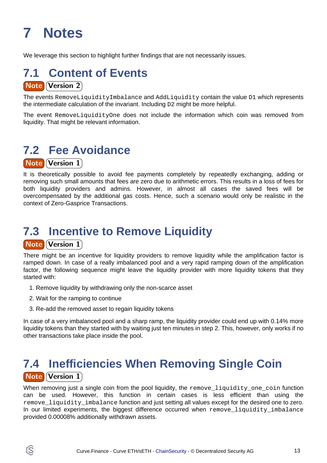## <span id="page-12-0"></span>**7 Notes**

We leverage this section to highlight further findings that are not necessarily issues.

#### **7.1 Content of Events** Note Version 2

The events RemoveLiquidityImbalance and AddLiquidity contain the value D1 which represents the intermediate calculation of the invariant. Including D2 might be more helpful.

The event RemoveLiquidityOne does not include the information which coin was removed from liquidity. That might be relevant information.

### **7.2 Fee Avoidance**

**Note Version 1** 

It is theoretically possible to avoid fee payments completely by repeatedly exchanging, adding or removing such small amounts that fees are zero due to arithmetic errors. This results in a loss of fees for both liquidity providers and admins. However, in almost all cases the saved fees will be overcompensated by the additional gas costs. Hence, such a scenario would only be realistic in the context of Zero-Gasprice Transactions.

#### **7.3 Incentive to Remove Liquidity Note Version 1**

There might be an incentive for liquidity providers to remove liquidity while the amplification factor is ramped down. In case of a really imbalanced pool and a very rapid ramping down of the amplification factor, the following sequence might leave the liquidity provider with more liquidity tokens that they started with:

- 1. Remove liquidity by withdrawing only the non-scarce asset
- 2. Wait for the ramping to continue

Ĝ.

3. Re-add the removed asset to regain liquidity tokens

In case of a very imbalanced pool and a sharp ramp, the liquidity provider could end up with 0.14% more liquidity tokens than they started with by waiting just ten minutes in step 2. This, however, only works if no other transactions take place inside the pool.

### **7.4 Inefficiencies When Removing Single Coin Note Version 1**

When removing just a single coin from the pool liquidity, the remove\_liquidity\_one\_coin function can be used. However, this function in certain cases is less efficient than using the remove liquidity imbalance function and just setting all values except for the desired one to zero. In our limited experiments, the biggest difference occurred when remove liquidity imbalance provided 0.00008% additionally withdrawn assets.